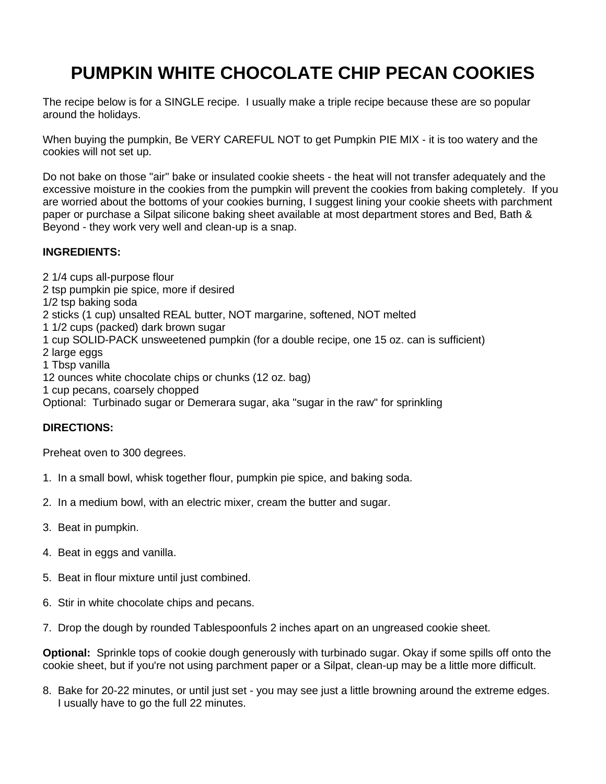## **PUMPKIN WHITE CHOCOLATE CHIP PECAN COOKIES**

The recipe below is for a SINGLE recipe. I usually make a triple recipe because these are so popular around the holidays.

When buying the pumpkin, Be VERY CAREFUL NOT to get Pumpkin PIE MIX - it is too watery and the cookies will not set up.

Do not bake on those "air" bake or insulated cookie sheets - the heat will not transfer adequately and the excessive moisture in the cookies from the pumpkin will prevent the cookies from baking completely. If you are worried about the bottoms of your cookies burning, I suggest lining your cookie sheets with parchment paper or purchase a Silpat silicone baking sheet available at most department stores and Bed, Bath & Beyond - they work very well and clean-up is a snap.

## **INGREDIENTS:**

2 1/4 cups all-purpose flour 2 tsp pumpkin pie spice, more if desired 1/2 tsp baking soda 2 sticks (1 cup) unsalted REAL butter, NOT margarine, softened, NOT melted 1 1/2 cups (packed) dark brown sugar 1 cup SOLID-PACK unsweetened pumpkin (for a double recipe, one 15 oz. can is sufficient) 2 large eggs 1 Tbsp vanilla 12 ounces white chocolate chips or chunks (12 oz. bag) 1 cup pecans, coarsely chopped Optional: Turbinado sugar or Demerara sugar, aka "sugar in the raw" for sprinkling

## **DIRECTIONS:**

Preheat oven to 300 degrees.

- 1. In a small bowl, whisk together flour, pumpkin pie spice, and baking soda.
- 2. In a medium bowl, with an electric mixer, cream the butter and sugar.
- 3. Beat in pumpkin.
- 4. Beat in eggs and vanilla.
- 5. Beat in flour mixture until just combined.
- 6. Stir in white chocolate chips and pecans.
- 7. Drop the dough by rounded Tablespoonfuls 2 inches apart on an ungreased cookie sheet.

**Optional:** Sprinkle tops of cookie dough generously with turbinado sugar. Okay if some spills off onto the cookie sheet, but if you're not using parchment paper or a Silpat, clean-up may be a little more difficult.

8. Bake for 20-22 minutes, or until just set - you may see just a little browning around the extreme edges. I usually have to go the full 22 minutes.